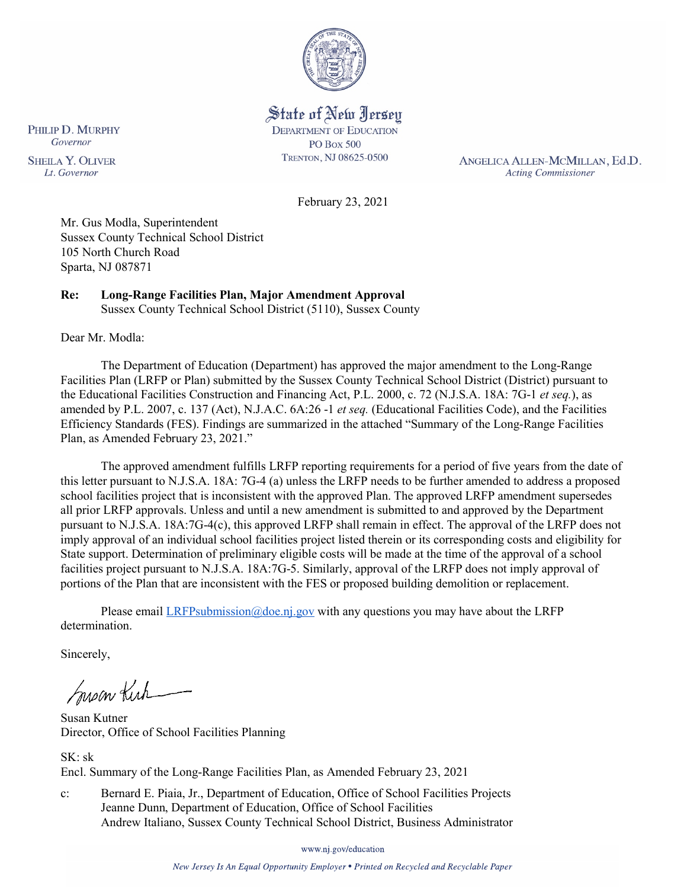

State of New Jersey **DEPARTMENT OF EDUCATION PO Box 500** TRENTON, NJ 08625-0500

ANGELICA ALLEN-MCMILLAN, Ed.D. **Acting Commissioner** 

February 23, 2021

Mr. Gus Modla, Superintendent Sussex County Technical School District 105 North Church Road Sparta, NJ 087871

# **Re: Long-Range Facilities Plan, Major Amendment Approval**

Sussex County Technical School District (5110), Sussex County

Dear Mr. Modla:

PHILIP D. MURPHY

Governor

**SHEILA Y. OLIVER** 

Lt. Governor

The Department of Education (Department) has approved the major amendment to the Long-Range Facilities Plan (LRFP or Plan) submitted by the Sussex County Technical School District (District) pursuant to the Educational Facilities Construction and Financing Act, P.L. 2000, c. 72 (N.J.S.A. 18A: 7G-1 *et seq.*), as amended by P.L. 2007, c. 137 (Act), N.J.A.C. 6A:26 -1 *et seq.* (Educational Facilities Code), and the Facilities Efficiency Standards (FES). Findings are summarized in the attached "Summary of the Long-Range Facilities Plan, as Amended February 23, 2021."

The approved amendment fulfills LRFP reporting requirements for a period of five years from the date of this letter pursuant to N.J.S.A. 18A: 7G-4 (a) unless the LRFP needs to be further amended to address a proposed school facilities project that is inconsistent with the approved Plan. The approved LRFP amendment supersedes all prior LRFP approvals. Unless and until a new amendment is submitted to and approved by the Department pursuant to N.J.S.A. 18A:7G-4(c), this approved LRFP shall remain in effect. The approval of the LRFP does not imply approval of an individual school facilities project listed therein or its corresponding costs and eligibility for State support. Determination of preliminary eligible costs will be made at the time of the approval of a school facilities project pursuant to N.J.S.A. 18A:7G-5. Similarly, approval of the LRFP does not imply approval of portions of the Plan that are inconsistent with the FES or proposed building demolition or replacement.

Please email  $LRFP submission@doe.nj.gov$  with any questions you may have about the LRFP determination.

Sincerely,

Susan Kich

Susan Kutner Director, Office of School Facilities Planning

SK: sk Encl. Summary of the Long-Range Facilities Plan, as Amended February 23, 2021

c: Bernard E. Piaia, Jr., Department of Education, Office of School Facilities Projects Jeanne Dunn, Department of Education, Office of School Facilities Andrew Italiano, Sussex County Technical School District, Business Administrator

www.nj.gov/education

New Jersey Is An Equal Opportunity Employer . Printed on Recycled and Recyclable Paper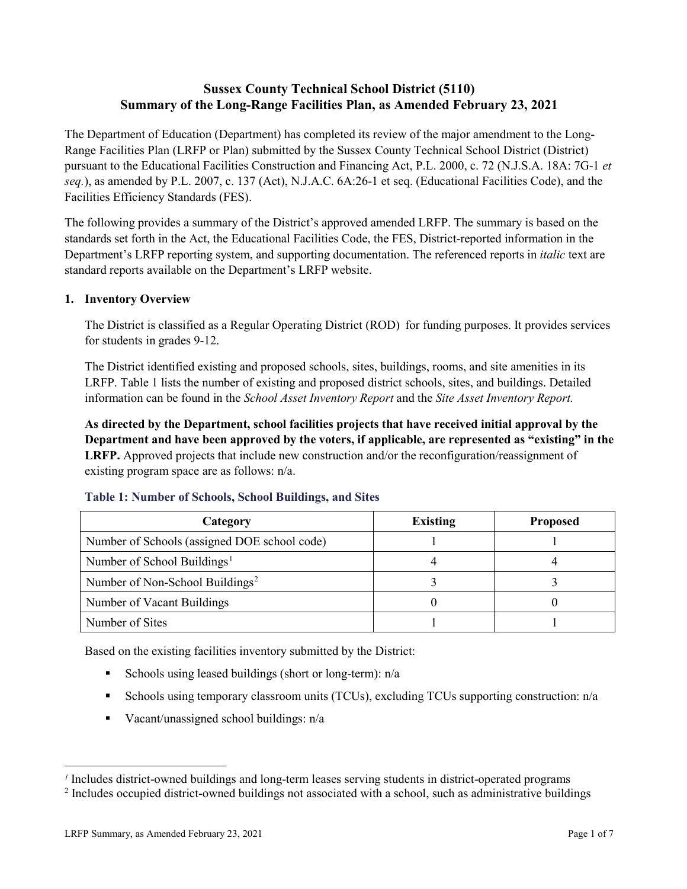## **Sussex County Technical School District (5110) Summary of the Long-Range Facilities Plan, as Amended February 23, 2021**

The Department of Education (Department) has completed its review of the major amendment to the Long-Range Facilities Plan (LRFP or Plan) submitted by the Sussex County Technical School District (District) pursuant to the Educational Facilities Construction and Financing Act, P.L. 2000, c. 72 (N.J.S.A. 18A: 7G-1 *et seq.*), as amended by P.L. 2007, c. 137 (Act), N.J.A.C. 6A:26-1 et seq. (Educational Facilities Code), and the Facilities Efficiency Standards (FES).

The following provides a summary of the District's approved amended LRFP. The summary is based on the standards set forth in the Act, the Educational Facilities Code, the FES, District-reported information in the Department's LRFP reporting system, and supporting documentation. The referenced reports in *italic* text are standard reports available on the Department's LRFP website.

## **1. Inventory Overview**

The District is classified as a Regular Operating District (ROD) for funding purposes. It provides services for students in grades 9-12.

The District identified existing and proposed schools, sites, buildings, rooms, and site amenities in its LRFP. Table 1 lists the number of existing and proposed district schools, sites, and buildings. Detailed information can be found in the *School Asset Inventory Report* and the *Site Asset Inventory Report.*

**As directed by the Department, school facilities projects that have received initial approval by the Department and have been approved by the voters, if applicable, are represented as "existing" in the LRFP.** Approved projects that include new construction and/or the reconfiguration/reassignment of existing program space are as follows: n/a.

| Category                                     | <b>Existing</b> | <b>Proposed</b> |
|----------------------------------------------|-----------------|-----------------|
| Number of Schools (assigned DOE school code) |                 |                 |
| Number of School Buildings <sup>1</sup>      |                 |                 |
| Number of Non-School Buildings <sup>2</sup>  |                 |                 |
| Number of Vacant Buildings                   |                 |                 |
| Number of Sites                              |                 |                 |

#### **Table 1: Number of Schools, School Buildings, and Sites**

Based on the existing facilities inventory submitted by the District:

- Schools using leased buildings (short or long-term):  $n/a$
- Schools using temporary classroom units (TCUs), excluding TCUs supporting construction: n/a
- Vacant/unassigned school buildings:  $n/a$

 $\overline{a}$ 

<span id="page-1-1"></span><span id="page-1-0"></span>*<sup>1</sup>* Includes district-owned buildings and long-term leases serving students in district-operated programs

<sup>&</sup>lt;sup>2</sup> Includes occupied district-owned buildings not associated with a school, such as administrative buildings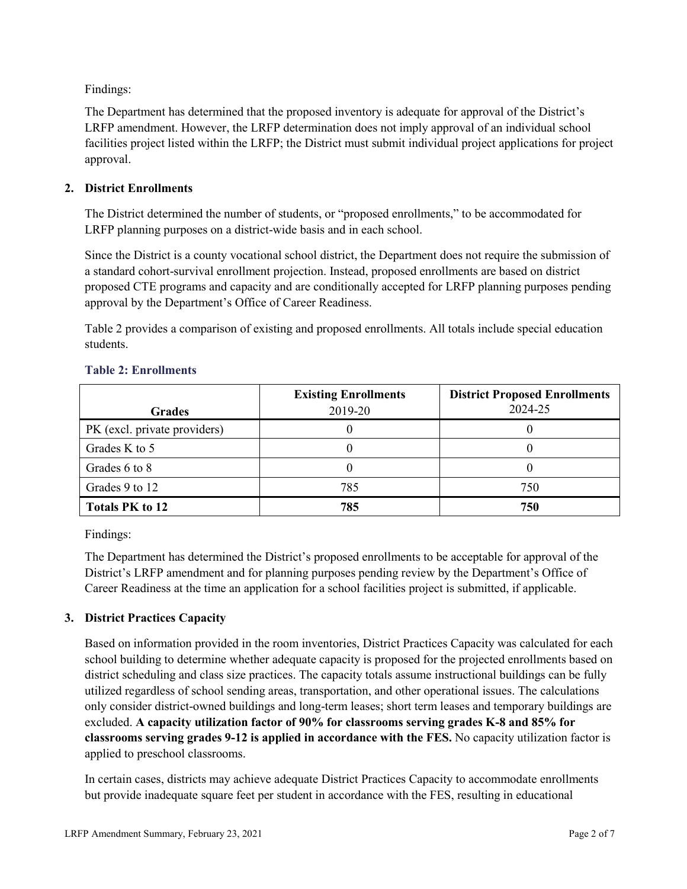Findings:

The Department has determined that the proposed inventory is adequate for approval of the District's LRFP amendment. However, the LRFP determination does not imply approval of an individual school facilities project listed within the LRFP; the District must submit individual project applications for project approval.

## **2. District Enrollments**

The District determined the number of students, or "proposed enrollments," to be accommodated for LRFP planning purposes on a district-wide basis and in each school.

Since the District is a county vocational school district, the Department does not require the submission of a standard cohort-survival enrollment projection. Instead, proposed enrollments are based on district proposed CTE programs and capacity and are conditionally accepted for LRFP planning purposes pending approval by the Department's Office of Career Readiness.

Table 2 provides a comparison of existing and proposed enrollments. All totals include special education students.

| <b>Grades</b>                | <b>Existing Enrollments</b><br>2019-20 | <b>District Proposed Enrollments</b><br>2024-25 |
|------------------------------|----------------------------------------|-------------------------------------------------|
| PK (excl. private providers) |                                        |                                                 |
| Grades K to 5                |                                        |                                                 |
| Grades 6 to 8                |                                        |                                                 |
| Grades 9 to 12               | 785                                    | 750                                             |
| <b>Totals PK to 12</b>       | 785                                    | 750                                             |

#### **Table 2: Enrollments**

Findings:

The Department has determined the District's proposed enrollments to be acceptable for approval of the District's LRFP amendment and for planning purposes pending review by the Department's Office of Career Readiness at the time an application for a school facilities project is submitted, if applicable.

## **3. District Practices Capacity**

Based on information provided in the room inventories, District Practices Capacity was calculated for each school building to determine whether adequate capacity is proposed for the projected enrollments based on district scheduling and class size practices. The capacity totals assume instructional buildings can be fully utilized regardless of school sending areas, transportation, and other operational issues. The calculations only consider district-owned buildings and long-term leases; short term leases and temporary buildings are excluded. **A capacity utilization factor of 90% for classrooms serving grades K-8 and 85% for classrooms serving grades 9-12 is applied in accordance with the FES.** No capacity utilization factor is applied to preschool classrooms.

In certain cases, districts may achieve adequate District Practices Capacity to accommodate enrollments but provide inadequate square feet per student in accordance with the FES, resulting in educational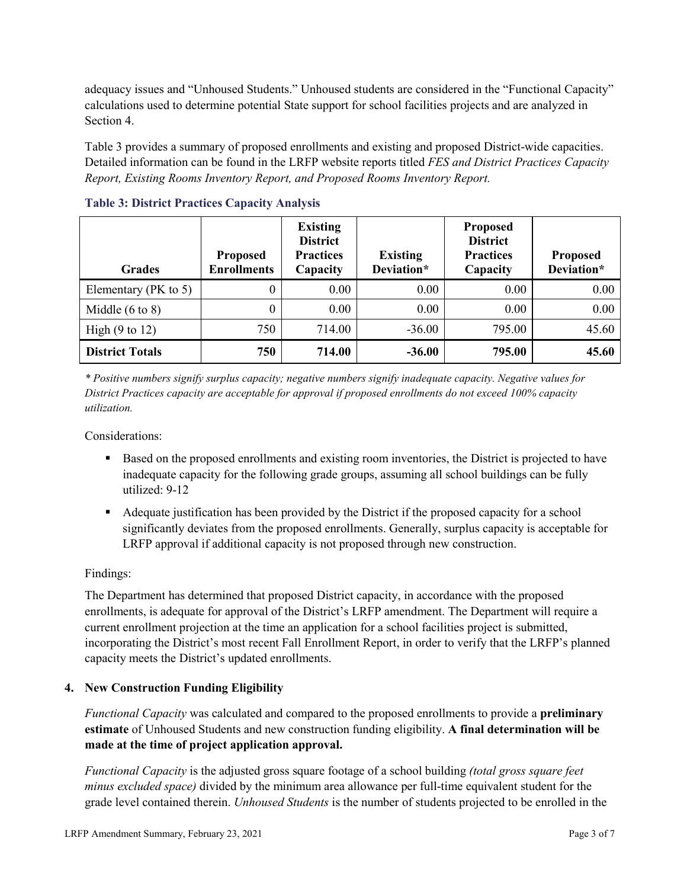adequacy issues and "Unhoused Students." Unhoused students are considered in the "Functional Capacity" calculations used to determine potential State support for school facilities projects and are analyzed in Section 4.

Table 3 provides a summary of proposed enrollments and existing and proposed District-wide capacities. Detailed information can be found in the LRFP website reports titled *FES and District Practices Capacity Report, Existing Rooms Inventory Report, and Proposed Rooms Inventory Report.*

| <b>Grades</b>              | <b>Proposed</b><br><b>Enrollments</b> | <b>Existing</b><br><b>District</b><br><b>Practices</b><br>Capacity | <b>Existing</b><br>Deviation* | <b>Proposed</b><br><b>District</b><br><b>Practices</b><br>Capacity | <b>Proposed</b><br>Deviation* |
|----------------------------|---------------------------------------|--------------------------------------------------------------------|-------------------------------|--------------------------------------------------------------------|-------------------------------|
| Elementary ( $PK$ to 5)    | 0                                     | 0.00                                                               | 0.00                          | 0.00                                                               | 0.00                          |
| Middle $(6 \text{ to } 8)$ | 0                                     | 0.00                                                               | 0.00                          | 0.00                                                               | 0.00                          |
| High $(9 \text{ to } 12)$  | 750                                   | 714.00                                                             | $-36.00$                      | 795.00                                                             | 45.60                         |
| <b>District Totals</b>     | 750                                   | 714.00                                                             | $-36.00$                      | 795.00                                                             | 45.60                         |

**Table 3: District Practices Capacity Analysis**

*\* Positive numbers signify surplus capacity; negative numbers signify inadequate capacity. Negative values for District Practices capacity are acceptable for approval if proposed enrollments do not exceed 100% capacity utilization.*

Considerations:

- Based on the proposed enrollments and existing room inventories, the District is projected to have inadequate capacity for the following grade groups, assuming all school buildings can be fully utilized: 9-12
- Adequate justification has been provided by the District if the proposed capacity for a school significantly deviates from the proposed enrollments. Generally, surplus capacity is acceptable for LRFP approval if additional capacity is not proposed through new construction.

## Findings:

The Department has determined that proposed District capacity, in accordance with the proposed enrollments, is adequate for approval of the District's LRFP amendment. The Department will require a current enrollment projection at the time an application for a school facilities project is submitted, incorporating the District's most recent Fall Enrollment Report, in order to verify that the LRFP's planned capacity meets the District's updated enrollments.

#### **4. New Construction Funding Eligibility**

*Functional Capacity* was calculated and compared to the proposed enrollments to provide a **preliminary estimate** of Unhoused Students and new construction funding eligibility. **A final determination will be made at the time of project application approval.**

*Functional Capacity* is the adjusted gross square footage of a school building *(total gross square feet minus excluded space)* divided by the minimum area allowance per full-time equivalent student for the grade level contained therein. *Unhoused Students* is the number of students projected to be enrolled in the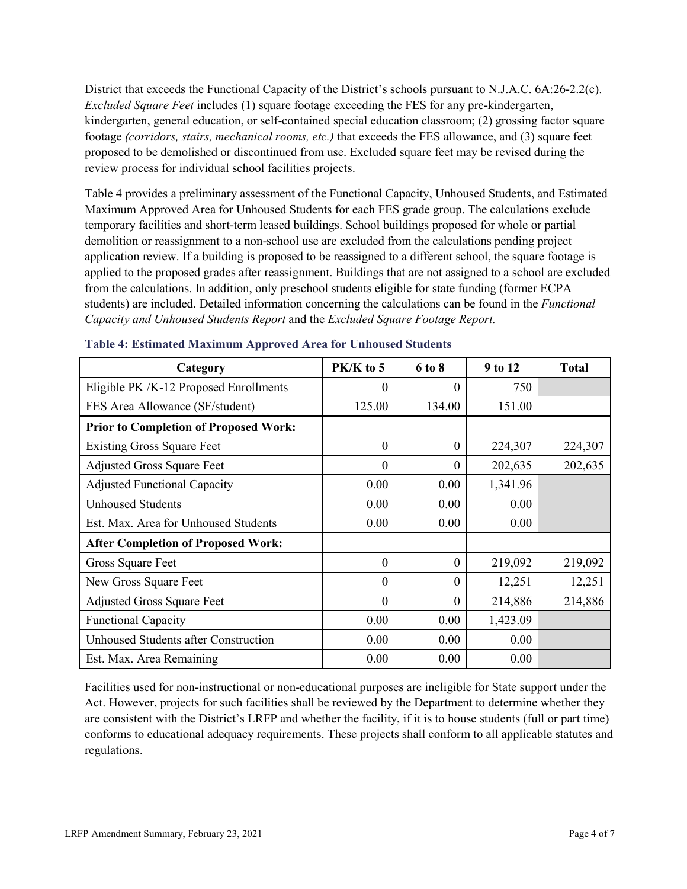District that exceeds the Functional Capacity of the District's schools pursuant to N.J.A.C. 6A:26-2.2(c). *Excluded Square Feet* includes (1) square footage exceeding the FES for any pre-kindergarten, kindergarten, general education, or self-contained special education classroom; (2) grossing factor square footage *(corridors, stairs, mechanical rooms, etc.)* that exceeds the FES allowance, and (3) square feet proposed to be demolished or discontinued from use. Excluded square feet may be revised during the review process for individual school facilities projects.

Table 4 provides a preliminary assessment of the Functional Capacity, Unhoused Students, and Estimated Maximum Approved Area for Unhoused Students for each FES grade group. The calculations exclude temporary facilities and short-term leased buildings. School buildings proposed for whole or partial demolition or reassignment to a non-school use are excluded from the calculations pending project application review. If a building is proposed to be reassigned to a different school, the square footage is applied to the proposed grades after reassignment. Buildings that are not assigned to a school are excluded from the calculations. In addition, only preschool students eligible for state funding (former ECPA students) are included. Detailed information concerning the calculations can be found in the *Functional Capacity and Unhoused Students Report* and the *Excluded Square Footage Report.*

| Category                                     | PK/K to 5 | 6 to 8   | 9 to 12  | <b>Total</b> |
|----------------------------------------------|-----------|----------|----------|--------------|
| Eligible PK /K-12 Proposed Enrollments       | 0         | 0        | 750      |              |
| FES Area Allowance (SF/student)              | 125.00    | 134.00   | 151.00   |              |
| <b>Prior to Completion of Proposed Work:</b> |           |          |          |              |
| <b>Existing Gross Square Feet</b>            | $\theta$  | $\theta$ | 224,307  | 224,307      |
| <b>Adjusted Gross Square Feet</b>            | $\theta$  | $\theta$ | 202,635  | 202,635      |
| <b>Adjusted Functional Capacity</b>          | 0.00      | 0.00     | 1,341.96 |              |
| <b>Unhoused Students</b>                     | 0.00      | 0.00     | 0.00     |              |
| Est. Max. Area for Unhoused Students         | 0.00      | 0.00     | 0.00     |              |
| <b>After Completion of Proposed Work:</b>    |           |          |          |              |
| Gross Square Feet                            | $\theta$  | $\theta$ | 219,092  | 219,092      |
| New Gross Square Feet                        | $\theta$  | $\theta$ | 12,251   | 12,251       |
| <b>Adjusted Gross Square Feet</b>            | $\theta$  | $\theta$ | 214,886  | 214,886      |
| <b>Functional Capacity</b>                   | 0.00      | 0.00     | 1,423.09 |              |
| <b>Unhoused Students after Construction</b>  | 0.00      | 0.00     | 0.00     |              |
| Est. Max. Area Remaining                     | 0.00      | 0.00     | 0.00     |              |

#### **Table 4: Estimated Maximum Approved Area for Unhoused Students**

Facilities used for non-instructional or non-educational purposes are ineligible for State support under the Act. However, projects for such facilities shall be reviewed by the Department to determine whether they are consistent with the District's LRFP and whether the facility, if it is to house students (full or part time) conforms to educational adequacy requirements. These projects shall conform to all applicable statutes and regulations.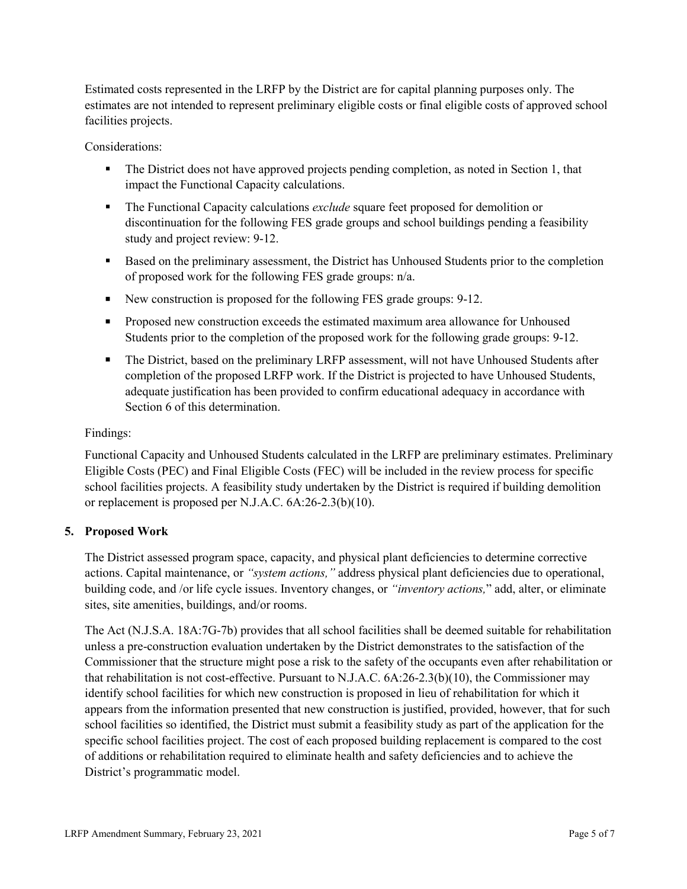Estimated costs represented in the LRFP by the District are for capital planning purposes only. The estimates are not intended to represent preliminary eligible costs or final eligible costs of approved school facilities projects.

Considerations:

- The District does not have approved projects pending completion, as noted in Section 1, that impact the Functional Capacity calculations.
- The Functional Capacity calculations *exclude* square feet proposed for demolition or discontinuation for the following FES grade groups and school buildings pending a feasibility study and project review: 9-12.
- Based on the preliminary assessment, the District has Unhoused Students prior to the completion of proposed work for the following FES grade groups: n/a.
- New construction is proposed for the following FES grade groups: 9-12.
- **Proposed new construction exceeds the estimated maximum area allowance for Unhoused** Students prior to the completion of the proposed work for the following grade groups: 9-12.
- The District, based on the preliminary LRFP assessment, will not have Unhoused Students after completion of the proposed LRFP work. If the District is projected to have Unhoused Students, adequate justification has been provided to confirm educational adequacy in accordance with Section 6 of this determination.

## Findings:

Functional Capacity and Unhoused Students calculated in the LRFP are preliminary estimates. Preliminary Eligible Costs (PEC) and Final Eligible Costs (FEC) will be included in the review process for specific school facilities projects. A feasibility study undertaken by the District is required if building demolition or replacement is proposed per N.J.A.C. 6A:26-2.3(b)(10).

## **5. Proposed Work**

The District assessed program space, capacity, and physical plant deficiencies to determine corrective actions. Capital maintenance, or *"system actions,"* address physical plant deficiencies due to operational, building code, and /or life cycle issues. Inventory changes, or *"inventory actions,*" add, alter, or eliminate sites, site amenities, buildings, and/or rooms.

The Act (N.J.S.A. 18A:7G-7b) provides that all school facilities shall be deemed suitable for rehabilitation unless a pre-construction evaluation undertaken by the District demonstrates to the satisfaction of the Commissioner that the structure might pose a risk to the safety of the occupants even after rehabilitation or that rehabilitation is not cost-effective. Pursuant to N.J.A.C. 6A:26-2.3(b)(10), the Commissioner may identify school facilities for which new construction is proposed in lieu of rehabilitation for which it appears from the information presented that new construction is justified, provided, however, that for such school facilities so identified, the District must submit a feasibility study as part of the application for the specific school facilities project. The cost of each proposed building replacement is compared to the cost of additions or rehabilitation required to eliminate health and safety deficiencies and to achieve the District's programmatic model.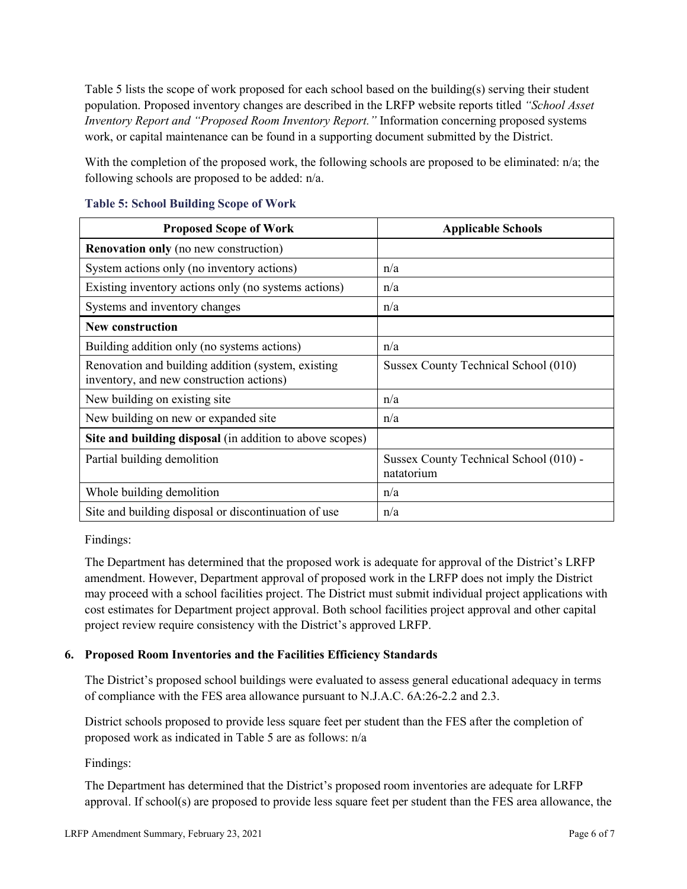Table 5 lists the scope of work proposed for each school based on the building(s) serving their student population. Proposed inventory changes are described in the LRFP website reports titled *"School Asset Inventory Report and "Proposed Room Inventory Report."* Information concerning proposed systems work, or capital maintenance can be found in a supporting document submitted by the District.

With the completion of the proposed work, the following schools are proposed to be eliminated: n/a; the following schools are proposed to be added: n/a.

| <b>Proposed Scope of Work</b>                                                                  | <b>Applicable Schools</b>                            |
|------------------------------------------------------------------------------------------------|------------------------------------------------------|
| <b>Renovation only</b> (no new construction)                                                   |                                                      |
| System actions only (no inventory actions)                                                     | n/a                                                  |
| Existing inventory actions only (no systems actions)                                           | n/a                                                  |
| Systems and inventory changes                                                                  | n/a                                                  |
| <b>New construction</b>                                                                        |                                                      |
| Building addition only (no systems actions)                                                    | n/a                                                  |
| Renovation and building addition (system, existing<br>inventory, and new construction actions) | Sussex County Technical School (010)                 |
| New building on existing site                                                                  | n/a                                                  |
| New building on new or expanded site                                                           | n/a                                                  |
| Site and building disposal (in addition to above scopes)                                       |                                                      |
| Partial building demolition                                                                    | Sussex County Technical School (010) -<br>natatorium |
| Whole building demolition                                                                      | n/a                                                  |
| Site and building disposal or discontinuation of use                                           | n/a                                                  |

### **Table 5: School Building Scope of Work**

Findings:

The Department has determined that the proposed work is adequate for approval of the District's LRFP amendment. However, Department approval of proposed work in the LRFP does not imply the District may proceed with a school facilities project. The District must submit individual project applications with cost estimates for Department project approval. Both school facilities project approval and other capital project review require consistency with the District's approved LRFP.

## **6. Proposed Room Inventories and the Facilities Efficiency Standards**

The District's proposed school buildings were evaluated to assess general educational adequacy in terms of compliance with the FES area allowance pursuant to N.J.A.C. 6A:26-2.2 and 2.3.

District schools proposed to provide less square feet per student than the FES after the completion of proposed work as indicated in Table 5 are as follows: n/a

Findings:

The Department has determined that the District's proposed room inventories are adequate for LRFP approval. If school(s) are proposed to provide less square feet per student than the FES area allowance, the